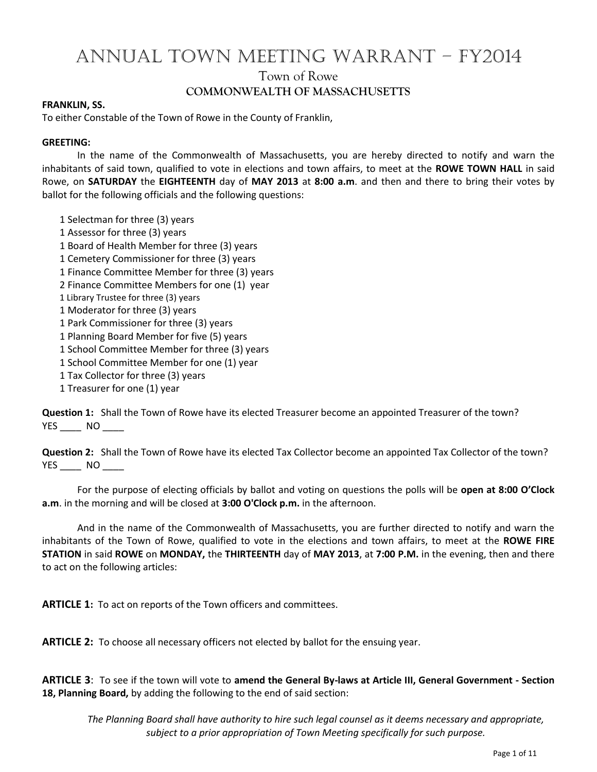## ANNUAL TOWN MEETING WARRANT – FY2014 Town of Rowe **COMMONWEALTH OF MASSACHUSETTS**

#### **FRANKLIN, SS.**

To either Constable of the Town of Rowe in the County of Franklin,

#### **GREETING:**

In the name of the Commonwealth of Massachusetts, you are hereby directed to notify and warn the inhabitants of said town, qualified to vote in elections and town affairs, to meet at the **ROWE TOWN HALL** in said Rowe, on **SATURDAY** the **EIGHTEENTH** day of **MAY 2013** at **8:00 a.m**. and then and there to bring their votes by ballot for the following officials and the following questions:

- 1 Selectman for three (3) years
- 1 Assessor for three (3) years
- 1 Board of Health Member for three (3) years
- 1 Cemetery Commissioner for three (3) years
- 1 Finance Committee Member for three (3) years
- 2 Finance Committee Members for one (1) year
- 1 Library Trustee for three (3) years
- 1 Moderator for three (3) years
- 1 Park Commissioner for three (3) years
- 1 Planning Board Member for five (5) years
- 1 School Committee Member for three (3) years
- 1 School Committee Member for one (1) year
- 1 Tax Collector for three (3) years
- 1 Treasurer for one (1) year

**Question 1:** Shall the Town of Rowe have its elected Treasurer become an appointed Treasurer of the town? YES NO

**Question 2:** Shall the Town of Rowe have its elected Tax Collector become an appointed Tax Collector of the town? YES \_\_\_\_\_ NO \_\_\_\_\_

For the purpose of electing officials by ballot and voting on questions the polls will be **open at 8:00 O'Clock a.m**. in the morning and will be closed at **3:00 O'Clock p.m.** in the afternoon.

And in the name of the Commonwealth of Massachusetts, you are further directed to notify and warn the inhabitants of the Town of Rowe, qualified to vote in the elections and town affairs, to meet at the **ROWE FIRE STATION** in said **ROWE** on **MONDAY,** the **THIRTEENTH** day of **MAY 2013**, at **7:00 P.M.** in the evening, then and there to act on the following articles:

**ARTICLE 1:** To act on reports of the Town officers and committees.

**ARTICLE 2:** To choose all necessary officers not elected by ballot for the ensuing year.

**ARTICLE 3**: To see if the town will vote to **amend the General By-laws at Article III, General Government - Section 18, Planning Board,** by adding the following to the end of said section:

*The Planning Board shall have authority to hire such legal counsel as it deems necessary and appropriate, subject to a prior appropriation of Town Meeting specifically for such purpose.*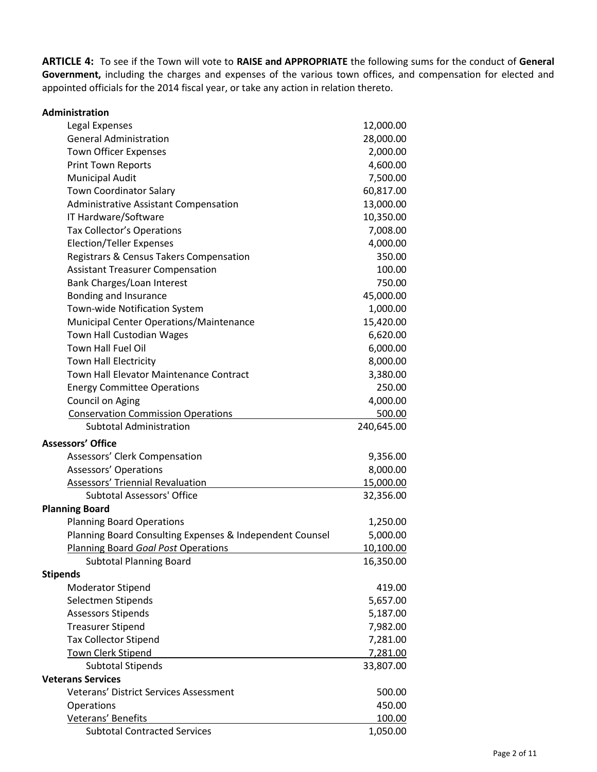**ARTICLE 4:** To see if the Town will vote to **RAISE and APPROPRIATE** the following sums for the conduct of **General Government,** including the charges and expenses of the various town offices, and compensation for elected and appointed officials for the 2014 fiscal year, or take any action in relation thereto.

| Administration                                           |            |
|----------------------------------------------------------|------------|
| Legal Expenses                                           | 12,000.00  |
| <b>General Administration</b>                            | 28,000.00  |
| Town Officer Expenses                                    | 2,000.00   |
| <b>Print Town Reports</b>                                | 4,600.00   |
| <b>Municipal Audit</b>                                   | 7,500.00   |
| <b>Town Coordinator Salary</b>                           | 60,817.00  |
| <b>Administrative Assistant Compensation</b>             | 13,000.00  |
| IT Hardware/Software                                     | 10,350.00  |
| <b>Tax Collector's Operations</b>                        | 7,008.00   |
| <b>Election/Teller Expenses</b>                          | 4,000.00   |
| Registrars & Census Takers Compensation                  | 350.00     |
| <b>Assistant Treasurer Compensation</b>                  | 100.00     |
| Bank Charges/Loan Interest                               | 750.00     |
| Bonding and Insurance                                    | 45,000.00  |
| Town-wide Notification System                            | 1,000.00   |
| Municipal Center Operations/Maintenance                  | 15,420.00  |
| Town Hall Custodian Wages                                | 6,620.00   |
| Town Hall Fuel Oil                                       | 6,000.00   |
| Town Hall Electricity                                    | 8,000.00   |
| Town Hall Elevator Maintenance Contract                  | 3,380.00   |
| <b>Energy Committee Operations</b>                       | 250.00     |
| Council on Aging                                         | 4,000.00   |
| <b>Conservation Commission Operations</b>                | 500.00     |
| <b>Subtotal Administration</b>                           | 240,645.00 |
| <b>Assessors' Office</b>                                 |            |
| Assessors' Clerk Compensation                            | 9,356.00   |
| <b>Assessors' Operations</b>                             | 8,000.00   |
| Assessors' Triennial Revaluation                         | 15,000.00  |
| <b>Subtotal Assessors' Office</b>                        | 32,356.00  |
| <b>Planning Board</b>                                    |            |
| <b>Planning Board Operations</b>                         | 1,250.00   |
| Planning Board Consulting Expenses & Independent Counsel | 5,000.00   |
| Planning Board Goal Post Operations                      | 10,100.00  |
| <b>Subtotal Planning Board</b>                           | 16,350.00  |
| <b>Stipends</b>                                          |            |
| <b>Moderator Stipend</b>                                 | 419.00     |
| Selectmen Stipends                                       | 5,657.00   |
| <b>Assessors Stipends</b>                                | 5,187.00   |
| <b>Treasurer Stipend</b>                                 | 7,982.00   |
| <b>Tax Collector Stipend</b>                             | 7,281.00   |
| Town Clerk Stipend                                       | 7,281.00   |
| <b>Subtotal Stipends</b>                                 | 33,807.00  |
| <b>Veterans Services</b>                                 |            |
| Veterans' District Services Assessment                   | 500.00     |
| Operations                                               | 450.00     |
| Veterans' Benefits                                       | 100.00     |
| <b>Subtotal Contracted Services</b>                      | 1,050.00   |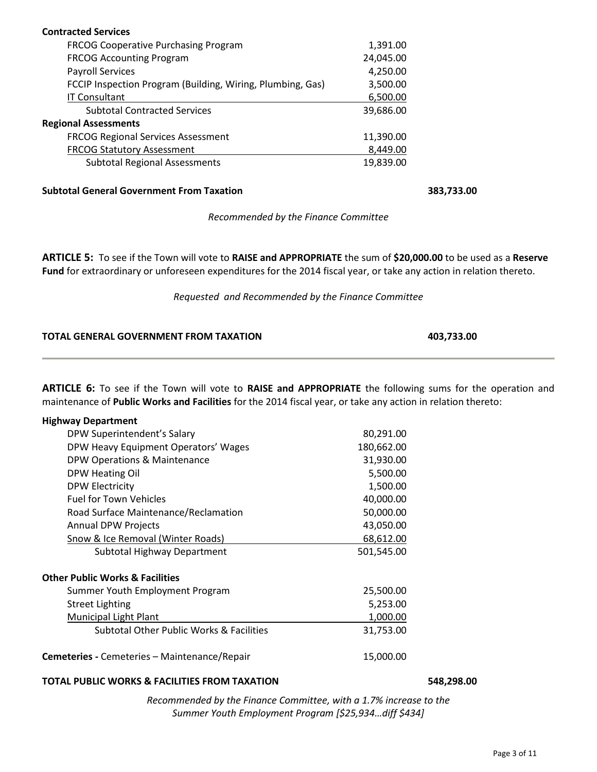| <b>Contracted Services</b>                                 |           |
|------------------------------------------------------------|-----------|
| <b>FRCOG Cooperative Purchasing Program</b>                | 1,391.00  |
| <b>FRCOG Accounting Program</b>                            | 24,045.00 |
| <b>Payroll Services</b>                                    | 4,250.00  |
| FCCIP Inspection Program (Building, Wiring, Plumbing, Gas) | 3,500.00  |
| <b>IT Consultant</b>                                       | 6,500.00  |
| <b>Subtotal Contracted Services</b>                        | 39,686.00 |
| <b>Regional Assessments</b>                                |           |
| <b>FRCOG Regional Services Assessment</b>                  | 11,390.00 |
| <b>FRCOG Statutory Assessment</b>                          | 8,449.00  |
| <b>Subtotal Regional Assessments</b>                       | 19,839.00 |

**Subtotal General Government From Taxation 383,733.00**

#### *Recommended by the Finance Committee*

**ARTICLE 5:** To see if the Town will vote to **RAISE and APPROPRIATE** the sum of **\$20,000.00** to be used as a **Reserve Fund** for extraordinary or unforeseen expenditures for the 2014 fiscal year, or take any action in relation thereto.

*Requested and Recommended by the Finance Committee*

| TOTAL GENERAL GOVERNMENT FROM TAXATION | 403,733.00 |  |
|----------------------------------------|------------|--|
|                                        |            |  |

**ARTICLE 6:** To see if the Town will vote to **RAISE and APPROPRIATE** the following sums for the operation and maintenance of **Public Works and Facilities** for the 2014 fiscal year, or take any action in relation thereto:

| <b>Highway Department</b>                           |            |
|-----------------------------------------------------|------------|
| DPW Superintendent's Salary                         | 80,291.00  |
| DPW Heavy Equipment Operators' Wages                | 180,662.00 |
| DPW Operations & Maintenance                        | 31,930.00  |
| DPW Heating Oil                                     | 5,500.00   |
| <b>DPW Electricity</b>                              | 1,500.00   |
| <b>Fuel for Town Vehicles</b>                       | 40,000.00  |
| Road Surface Maintenance/Reclamation                | 50,000.00  |
| <b>Annual DPW Projects</b>                          | 43,050.00  |
| Snow & Ice Removal (Winter Roads)                   | 68,612.00  |
| Subtotal Highway Department                         | 501,545.00 |
| <b>Other Public Works &amp; Facilities</b>          |            |
| Summer Youth Employment Program                     | 25,500.00  |
| <b>Street Lighting</b>                              | 5,253.00   |
| <b>Municipal Light Plant</b>                        | 1,000.00   |
| <b>Subtotal Other Public Works &amp; Facilities</b> | 31,753.00  |
| <b>Cemeteries - Cemeteries – Maintenance/Repair</b> | 15,000.00  |

#### **TOTAL PUBLIC WORKS & FACILITIES FROM TAXATION 548,298.00**

*Recommended by the Finance Committee, with a 1.7% increase to the Summer Youth Employment Program [\$25,934…diff \$434]*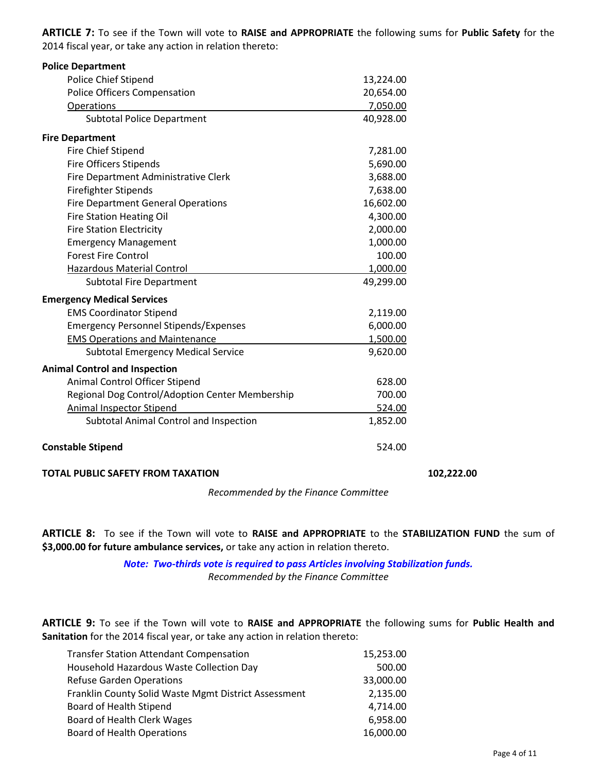**ARTICLE 7:** To see if the Town will vote to **RAISE and APPROPRIATE** the following sums for **Public Safety** for the 2014 fiscal year, or take any action in relation thereto:

| <b>Police Department</b>                        |           |
|-------------------------------------------------|-----------|
| Police Chief Stipend                            | 13,224.00 |
| <b>Police Officers Compensation</b>             | 20,654.00 |
| Operations                                      | 7,050.00  |
| <b>Subtotal Police Department</b>               | 40,928.00 |
| <b>Fire Department</b>                          |           |
| Fire Chief Stipend                              | 7,281.00  |
| <b>Fire Officers Stipends</b>                   | 5,690.00  |
| Fire Department Administrative Clerk            | 3,688.00  |
| <b>Firefighter Stipends</b>                     | 7,638.00  |
| <b>Fire Department General Operations</b>       | 16,602.00 |
| <b>Fire Station Heating Oil</b>                 | 4,300.00  |
| <b>Fire Station Electricity</b>                 | 2,000.00  |
| <b>Emergency Management</b>                     | 1,000.00  |
| <b>Forest Fire Control</b>                      | 100.00    |
| <b>Hazardous Material Control</b>               | 1,000.00  |
| <b>Subtotal Fire Department</b>                 | 49,299.00 |
| <b>Emergency Medical Services</b>               |           |
| <b>EMS Coordinator Stipend</b>                  | 2,119.00  |
| <b>Emergency Personnel Stipends/Expenses</b>    | 6,000.00  |
| <b>EMS Operations and Maintenance</b>           | 1,500.00  |
| <b>Subtotal Emergency Medical Service</b>       | 9,620.00  |
| <b>Animal Control and Inspection</b>            |           |
| Animal Control Officer Stipend                  | 628.00    |
| Regional Dog Control/Adoption Center Membership | 700.00    |
| <b>Animal Inspector Stipend</b>                 | 524.00    |
| Subtotal Animal Control and Inspection          | 1,852.00  |
| <b>Constable Stipend</b>                        | 524.00    |
|                                                 |           |

#### **TOTAL PUBLIC SAFETY FROM TAXATION 102,222.00**

*Recommended by the Finance Committee*

**ARTICLE 8:** To see if the Town will vote to **RAISE and APPROPRIATE** to the **STABILIZATION FUND** the sum of **\$3,000.00 for future ambulance services,** or take any action in relation thereto.

> *Note: Two-thirds vote is required to pass Articles involving Stabilization funds. Recommended by the Finance Committee*

**ARTICLE 9:** To see if the Town will vote to **RAISE and APPROPRIATE** the following sums for **Public Health and Sanitation** for the 2014 fiscal year, or take any action in relation thereto:

| <b>Transfer Station Attendant Compensation</b>       | 15,253.00 |
|------------------------------------------------------|-----------|
| Household Hazardous Waste Collection Day             | 500.00    |
| <b>Refuse Garden Operations</b>                      | 33,000.00 |
| Franklin County Solid Waste Mgmt District Assessment | 2,135.00  |
| Board of Health Stipend                              | 4,714.00  |
| Board of Health Clerk Wages                          | 6,958.00  |
| <b>Board of Health Operations</b>                    | 16,000.00 |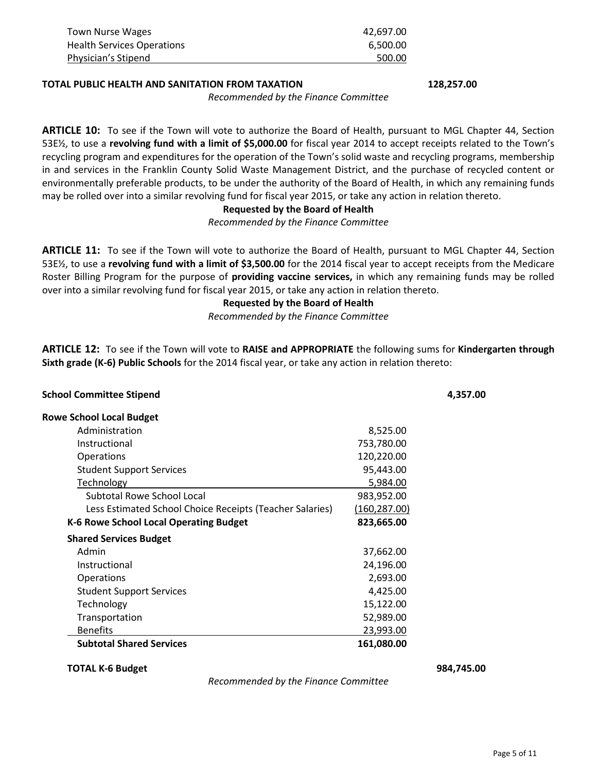| Town Nurse Wages                  | 42.697.00 |
|-----------------------------------|-----------|
| <b>Health Services Operations</b> | 6.500.00  |
| Physician's Stipend               | 500.00    |

#### **TOTAL PUBLIC HEALTH AND SANITATION FROM TAXATION 128,257.00**

*Recommended by the Finance Committee*

**ARTICLE 10:** To see if the Town will vote to authorize the Board of Health, pursuant to MGL Chapter 44, Section 53E½, to use a **revolving fund with a limit of \$5,000.00** for fiscal year 2014 to accept receipts related to the Town's recycling program and expenditures for the operation of the Town's solid waste and recycling programs, membership in and services in the Franklin County Solid Waste Management District, and the purchase of recycled content or environmentally preferable products, to be under the authority of the Board of Health, in which any remaining funds may be rolled over into a similar revolving fund for fiscal year 2015, or take any action in relation thereto.

#### **Requested by the Board of Health**

*Recommended by the Finance Committee*

**ARTICLE 11:** To see if the Town will vote to authorize the Board of Health, pursuant to MGL Chapter 44, Section 53E½, to use a **revolving fund with a limit of \$3,500.00** for the 2014 fiscal year to accept receipts from the Medicare Roster Billing Program for the purpose of **providing vaccine services,** in which any remaining funds may be rolled over into a similar revolving fund for fiscal year 2015, or take any action in relation thereto.

**Requested by the Board of Health**

*Recommended by the Finance Committee*

**ARTICLE 12:** To see if the Town will vote to **RAISE and APPROPRIATE** the following sums for **Kindergarten through Sixth grade (K-6) Public Schools** for the 2014 fiscal year, or take any action in relation thereto:

| <b>School Committee Stipend</b>                          |               | 4,357.00 |
|----------------------------------------------------------|---------------|----------|
| <b>Rowe School Local Budget</b>                          |               |          |
| Administration                                           | 8,525.00      |          |
| Instructional                                            | 753,780.00    |          |
| <b>Operations</b>                                        | 120,220.00    |          |
| <b>Student Support Services</b>                          | 95,443.00     |          |
| Technology                                               | 5,984.00      |          |
| Subtotal Rowe School Local                               | 983,952.00    |          |
| Less Estimated School Choice Receipts (Teacher Salaries) | (160, 287.00) |          |
| K-6 Rowe School Local Operating Budget                   | 823,665.00    |          |
| <b>Shared Services Budget</b>                            |               |          |
| Admin                                                    | 37,662.00     |          |
| Instructional                                            | 24,196.00     |          |
| <b>Operations</b>                                        | 2,693.00      |          |
| <b>Student Support Services</b>                          | 4,425.00      |          |
| Technology                                               | 15,122.00     |          |
| Transportation                                           | 52,989.00     |          |
| <b>Benefits</b>                                          | 23,993.00     |          |
| <b>Subtotal Shared Services</b>                          | 161,080.00    |          |

#### **TOTAL K-6 Budget 984,745.00**

*Recommended by the Finance Committee*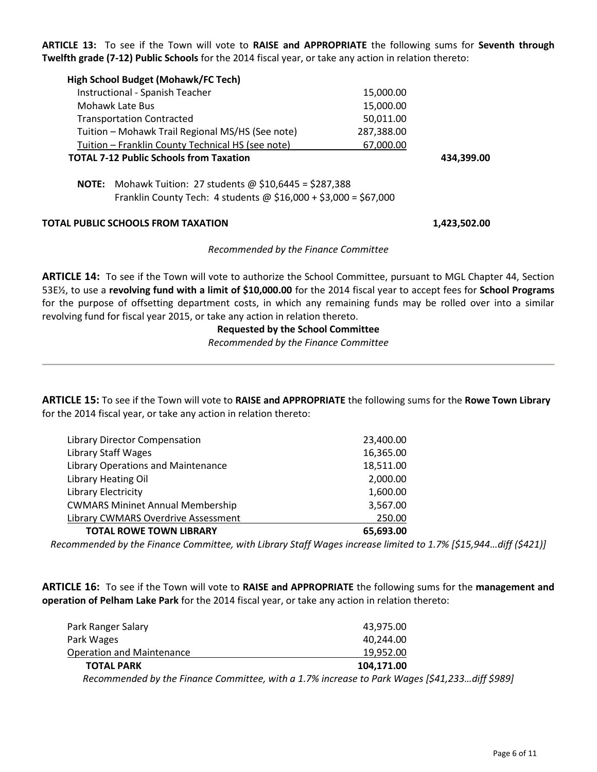**ARTICLE 13:** To see if the Town will vote to **RAISE and APPROPRIATE** the following sums for **Seventh through Twelfth grade (7-12) Public Schools** for the 2014 fiscal year, or take any action in relation thereto:

| High School Budget (Mohawk/FC Tech)                                                                                                         |            |              |
|---------------------------------------------------------------------------------------------------------------------------------------------|------------|--------------|
| Instructional - Spanish Teacher                                                                                                             | 15,000.00  |              |
| Mohawk Late Bus                                                                                                                             | 15,000.00  |              |
| <b>Transportation Contracted</b>                                                                                                            | 50,011.00  |              |
| Tuition - Mohawk Trail Regional MS/HS (See note)                                                                                            | 287,388.00 |              |
| Tuition - Franklin County Technical HS (see note)                                                                                           | 67,000.00  |              |
| <b>TOTAL 7-12 Public Schools from Taxation</b>                                                                                              |            | 434,399.00   |
| <b>NOTE:</b> Mohawk Tuition: 27 students @ \$10,6445 = \$287,388<br>Franklin County Tech: 4 students $\omega$ \$16,000 + \$3,000 = \$67,000 |            |              |
| TOTAL PUBLIC SCHOOLS FROM TAXATION                                                                                                          |            | 1,423,502.00 |
| Recommended by the Finance Committee                                                                                                        |            |              |

**ARTICLE 14:** To see if the Town will vote to authorize the School Committee, pursuant to MGL Chapter 44, Section 53E½, to use a **revolving fund with a limit of \$10,000.00** for the 2014 fiscal year to accept fees for **School Programs** for the purpose of offsetting department costs, in which any remaining funds may be rolled over into a similar revolving fund for fiscal year 2015, or take any action in relation thereto.

#### **Requested by the School Committee**

*Recommended by the Finance Committee*

**ARTICLE 15:** To see if the Town will vote to **RAISE and APPROPRIATE** the following sums for the **Rowe Town Library** for the 2014 fiscal year, or take any action in relation thereto:

| Library Director Compensation           | 23,400.00 |
|-----------------------------------------|-----------|
| <b>Library Staff Wages</b>              | 16,365.00 |
| Library Operations and Maintenance      | 18,511.00 |
| <b>Library Heating Oil</b>              | 2,000.00  |
| <b>Library Electricity</b>              | 1,600.00  |
| <b>CWMARS Mininet Annual Membership</b> | 3,567.00  |
| Library CWMARS Overdrive Assessment     | 250.00    |
| <b>TOTAL ROWE TOWN LIBRARY</b>          | 65,693.00 |

*Recommended by the Finance Committee, with Library Staff Wages increase limited to 1.7% [\$15,944…diff (\$421)]*

**ARTICLE 16:** To see if the Town will vote to **RAISE and APPROPRIATE** the following sums for the **management and operation of Pelham Lake Park** for the 2014 fiscal year, or take any action in relation thereto:

| Park Ranger Salary               | 43,975.00                                                                                     |
|----------------------------------|-----------------------------------------------------------------------------------------------|
| Park Wages                       | 40.244.00                                                                                     |
| <b>Operation and Maintenance</b> | 19.952.00                                                                                     |
| <b>TOTAL PARK</b>                | 104,171.00                                                                                    |
|                                  | Recommended by the Finance Committee, with a 1.7% increase to Park Wages [\$41,233diff \$989] |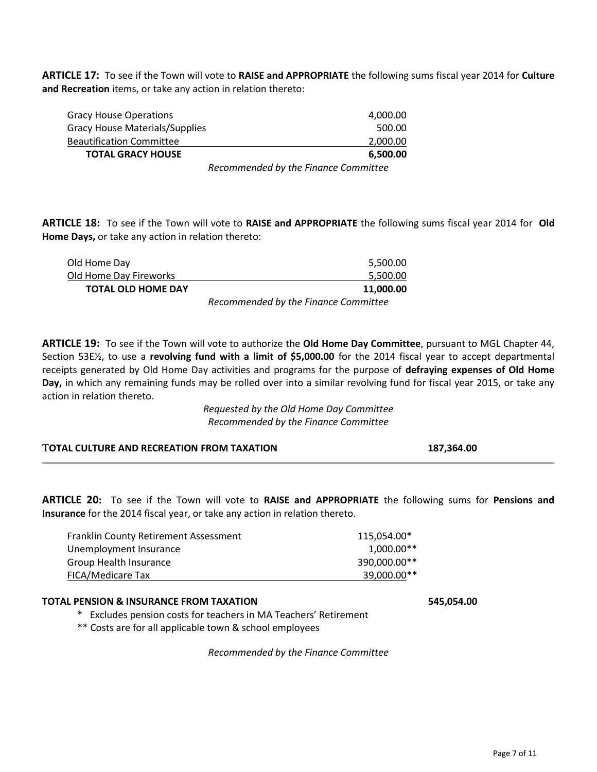**ARTICLE 17:** To see if the Town will vote to **RAISE and APPROPRIATE** the following sums fiscal year 2014 for **Culture and Recreation** items, or take any action in relation thereto:

| <b>TOTAL GRACY HOUSE</b>              | 6.500.00 |
|---------------------------------------|----------|
| <b>Beautification Committee</b>       | 2,000.00 |
| <b>Gracy House Materials/Supplies</b> | 500.00   |
| Gracy House Operations                | 4,000.00 |
|                                       |          |

*Recommended by the Finance Committee*

**ARTICLE 18:** To see if the Town will vote to **RAISE and APPROPRIATE** the following sums fiscal year 2014 for **Old Home Days,** or take any action in relation thereto:

| Old Home Day              | 5,500.00                             |
|---------------------------|--------------------------------------|
| Old Home Day Fireworks    | 5,500.00                             |
| <b>TOTAL OLD HOME DAY</b> | 11.000.00                            |
|                           | Recommended by the Finance Committee |

**ARTICLE 19:** To see if the Town will vote to authorize the **Old Home Day Committee**, pursuant to MGL Chapter 44, Section 53E½, to use a **revolving fund with a limit of \$5,000.00** for the 2014 fiscal year to accept departmental receipts generated by Old Home Day activities and programs for the purpose of **defraying expenses of Old Home Day,** in which any remaining funds may be rolled over into a similar revolving fund for fiscal year 2015, or take any action in relation thereto.

> *Requested by the Old Home Day Committee Recommended by the Finance Committee*

| 187,364.00 |
|------------|
|            |

**ARTICLE 20:** To see if the Town will vote to **RAISE and APPROPRIATE** the following sums for **Pensions and Insurance** for the 2014 fiscal year, or take any action in relation thereto.

| <b>Franklin County Retirement Assessment</b> | 115.054.00*  |  |
|----------------------------------------------|--------------|--|
| Unemployment Insurance                       | $1,000.00**$ |  |
| Group Health Insurance                       | 390,000.00** |  |
| FICA/Medicare Tax                            | 39,000.00**  |  |

#### **TOTAL PENSION & INSURANCE FROM TAXATION 545,054.00**

\* Excludes pension costs for teachers in MA Teachers' Retirement

\*\* Costs are for all applicable town & school employees

*Recommended by the Finance Committee*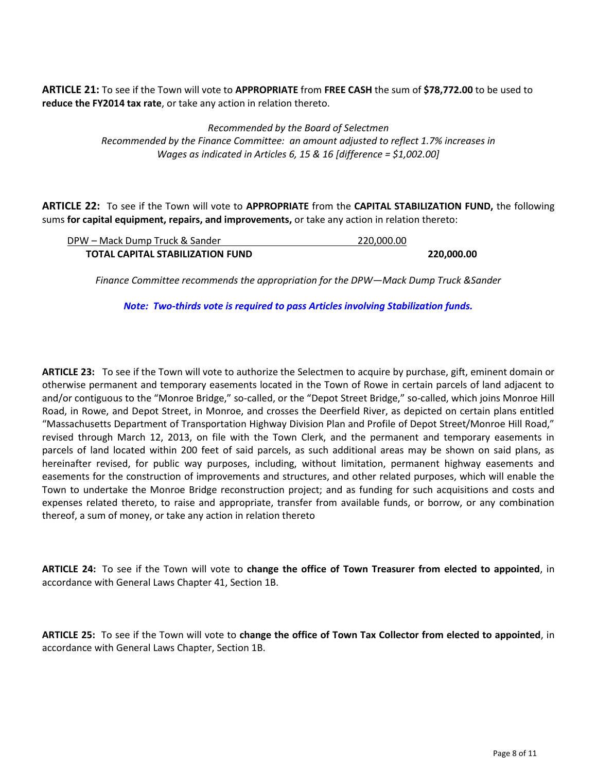**ARTICLE 21:** To see if the Town will vote to **APPROPRIATE** from **FREE CASH** the sum of **\$78,772.00** to be used to **reduce the FY2014 tax rate**, or take any action in relation thereto.

> *Recommended by the Board of Selectmen Recommended by the Finance Committee: an amount adjusted to reflect 1.7% increases in Wages as indicated in Articles 6, 15 & 16 [difference = \$1,002.00]*

**ARTICLE 22:** To see if the Town will vote to **APPROPRIATE** from the **CAPITAL STABILIZATION FUND,** the following sums **for capital equipment, repairs, and improvements,** or take any action in relation thereto:

| DPW – Mack Dump Truck & Sander          | 220.000.00 |            |
|-----------------------------------------|------------|------------|
| <b>TOTAL CAPITAL STABILIZATION FUND</b> |            | 220,000.00 |

*Finance Committee recommends the appropriation for the DPW—Mack Dump Truck &Sander*

*Note: Two-thirds vote is required to pass Articles involving Stabilization funds.*

**ARTICLE 23:** To see if the Town will vote to authorize the Selectmen to acquire by purchase, gift, eminent domain or otherwise permanent and temporary easements located in the Town of Rowe in certain parcels of land adjacent to and/or contiguous to the "Monroe Bridge," so-called, or the "Depot Street Bridge," so-called, which joins Monroe Hill Road, in Rowe, and Depot Street, in Monroe, and crosses the Deerfield River, as depicted on certain plans entitled "Massachusetts Department of Transportation Highway Division Plan and Profile of Depot Street/Monroe Hill Road," revised through March 12, 2013, on file with the Town Clerk, and the permanent and temporary easements in parcels of land located within 200 feet of said parcels, as such additional areas may be shown on said plans, as hereinafter revised, for public way purposes, including, without limitation, permanent highway easements and easements for the construction of improvements and structures, and other related purposes, which will enable the Town to undertake the Monroe Bridge reconstruction project; and as funding for such acquisitions and costs and expenses related thereto, to raise and appropriate, transfer from available funds, or borrow, or any combination thereof, a sum of money, or take any action in relation thereto

**ARTICLE 24:** To see if the Town will vote to **change the office of Town Treasurer from elected to appointed**, in accordance with General Laws Chapter 41, Section 1B.

**ARTICLE 25:** To see if the Town will vote to **change the office of Town Tax Collector from elected to appointed**, in accordance with General Laws Chapter, Section 1B.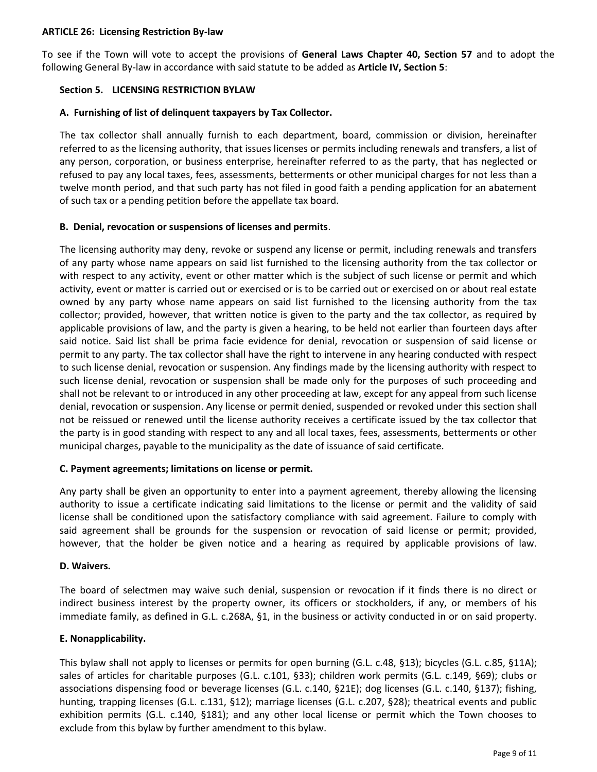#### **ARTICLE 26: Licensing Restriction By-law**

To see if the Town will vote to accept the provisions of **General Laws Chapter 40, Section 57** and to adopt the following General By-law in accordance with said statute to be added as **Article IV, Section 5**:

#### **Section 5. LICENSING RESTRICTION BYLAW**

### **A. Furnishing of list of delinquent taxpayers by Tax Collector.**

The tax collector shall annually furnish to each department, board, commission or division, hereinafter referred to as the licensing authority, that issues licenses or permits including renewals and transfers, a list of any person, corporation, or business enterprise, hereinafter referred to as the party, that has neglected or refused to pay any local taxes, fees, assessments, betterments or other municipal charges for not less than a twelve month period, and that such party has not filed in good faith a pending application for an abatement of such tax or a pending petition before the appellate tax board.

#### **B. Denial, revocation or suspensions of licenses and permits**.

The licensing authority may deny, revoke or suspend any license or permit, including renewals and transfers of any party whose name appears on said list furnished to the licensing authority from the tax collector or with respect to any activity, event or other matter which is the subject of such license or permit and which activity, event or matter is carried out or exercised or is to be carried out or exercised on or about real estate owned by any party whose name appears on said list furnished to the licensing authority from the tax collector; provided, however, that written notice is given to the party and the tax collector, as required by applicable provisions of law, and the party is given a hearing, to be held not earlier than fourteen days after said notice. Said list shall be prima facie evidence for denial, revocation or suspension of said license or permit to any party. The tax collector shall have the right to intervene in any hearing conducted with respect to such license denial, revocation or suspension. Any findings made by the licensing authority with respect to such license denial, revocation or suspension shall be made only for the purposes of such proceeding and shall not be relevant to or introduced in any other proceeding at law, except for any appeal from such license denial, revocation or suspension. Any license or permit denied, suspended or revoked under this section shall not be reissued or renewed until the license authority receives a certificate issued by the tax collector that the party is in good standing with respect to any and all local taxes, fees, assessments, betterments or other municipal charges, payable to the municipality as the date of issuance of said certificate.

#### **C. Payment agreements; limitations on license or permit.**

Any party shall be given an opportunity to enter into a payment agreement, thereby allowing the licensing authority to issue a certificate indicating said limitations to the license or permit and the validity of said license shall be conditioned upon the satisfactory compliance with said agreement. Failure to comply with said agreement shall be grounds for the suspension or revocation of said license or permit; provided, however, that the holder be given notice and a hearing as required by applicable provisions of law.

#### **D. Waivers.**

The board of selectmen may waive such denial, suspension or revocation if it finds there is no direct or indirect business interest by the property owner, its officers or stockholders, if any, or members of his immediate family, as defined in G.L. c.268A, §1, in the business or activity conducted in or on said property.

#### **E. Nonapplicability.**

This bylaw shall not apply to licenses or permits for open burning (G.L. c.48, §13); bicycles (G.L. c.85, §11A); sales of articles for charitable purposes (G.L. c.101, §33); children work permits (G.L. c.149, §69); clubs or associations dispensing food or beverage licenses (G.L. c.140, §21E); dog licenses (G.L. c.140, §137); fishing, hunting, trapping licenses (G.L. c.131, §12); marriage licenses (G.L. c.207, §28); theatrical events and public exhibition permits (G.L. c.140, §181); and any other local license or permit which the Town chooses to exclude from this bylaw by further amendment to this bylaw.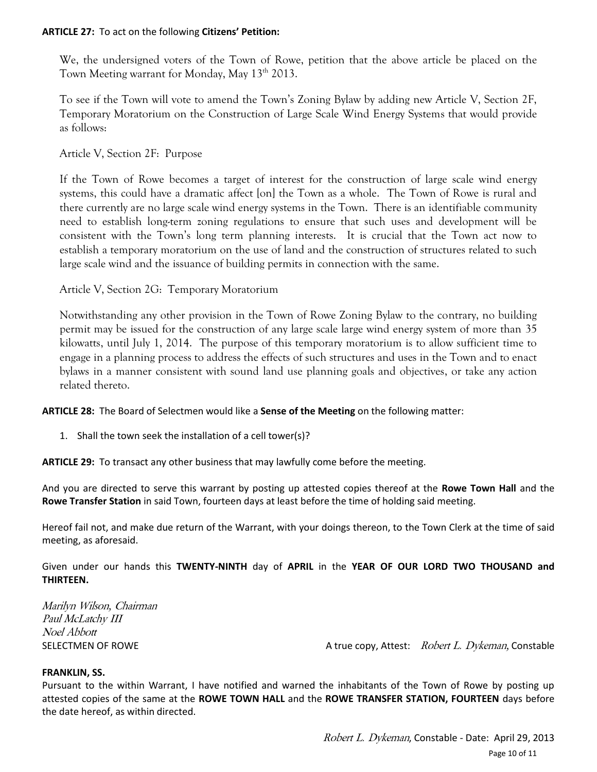#### **ARTICLE 27:** To act on the following **Citizens' Petition:**

We, the undersigned voters of the Town of Rowe, petition that the above article be placed on the Town Meeting warrant for Monday, May  $13<sup>th</sup> 2013$ .

To see if the Town will vote to amend the Town's Zoning Bylaw by adding new Article V, Section 2F, Temporary Moratorium on the Construction of Large Scale Wind Energy Systems that would provide as follows:

Article V, Section 2F: Purpose

If the Town of Rowe becomes a target of interest for the construction of large scale wind energy systems, this could have a dramatic affect [on] the Town as a whole. The Town of Rowe is rural and there currently are no large scale wind energy systems in the Town. There is an identifiable community need to establish long-term zoning regulations to ensure that such uses and development will be consistent with the Town's long term planning interests. It is crucial that the Town act now to establish a temporary moratorium on the use of land and the construction of structures related to such large scale wind and the issuance of building permits in connection with the same.

Article V, Section 2G: Temporary Moratorium

Notwithstanding any other provision in the Town of Rowe Zoning Bylaw to the contrary, no building permit may be issued for the construction of any large scale large wind energy system of more than 35 kilowatts, until July 1, 2014. The purpose of this temporary moratorium is to allow sufficient time to engage in a planning process to address the effects of such structures and uses in the Town and to enact bylaws in a manner consistent with sound land use planning goals and objectives, or take any action related thereto.

**ARTICLE 28:** The Board of Selectmen would like a **Sense of the Meeting** on the following matter:

1. Shall the town seek the installation of a cell tower(s)?

**ARTICLE 29:** To transact any other business that may lawfully come before the meeting.

And you are directed to serve this warrant by posting up attested copies thereof at the **Rowe Town Hall** and the **Rowe Transfer Station** in said Town, fourteen days at least before the time of holding said meeting.

Hereof fail not, and make due return of the Warrant, with your doings thereon, to the Town Clerk at the time of said meeting, as aforesaid.

Given under our hands this **TWENTY-NINTH** day of **APRIL** in the **YEAR OF OUR LORD TWO THOUSAND and THIRTEEN.**

Marilyn Wilson, Chairman Paul McLatchy III Noel Abbott

SELECTMEN OF ROWE A true copy, Attest: Robert L. Dykeman, Constable

#### **FRANKLIN, SS.**

Pursuant to the within Warrant, I have notified and warned the inhabitants of the Town of Rowe by posting up attested copies of the same at the **ROWE TOWN HALL** and the **ROWE TRANSFER STATION, FOURTEEN** days before the date hereof, as within directed.